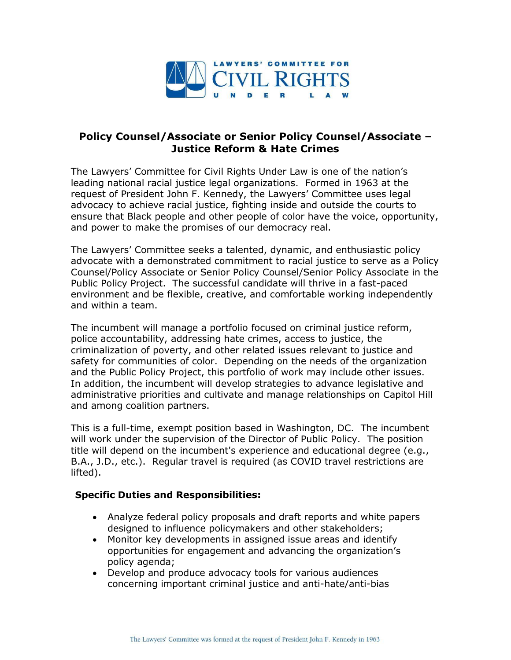

## **Policy Counsel/Associate or Senior Policy Counsel/Associate – Justice Reform & Hate Crimes**

The Lawyers' Committee for Civil Rights Under Law is one of the nation's leading national racial justice legal organizations. Formed in 1963 at the request of President John F. Kennedy, the Lawyers' Committee uses legal advocacy to achieve racial justice, fighting inside and outside the courts to ensure that Black people and other people of color have the voice, opportunity, and power to make the promises of our democracy real.

The Lawyers' Committee seeks a talented, dynamic, and enthusiastic policy advocate with a demonstrated commitment to racial justice to serve as a Policy Counsel/Policy Associate or Senior Policy Counsel/Senior Policy Associate in the Public Policy Project. The successful candidate will thrive in a fast-paced environment and be flexible, creative, and comfortable working independently and within a team.

The incumbent will manage a portfolio focused on criminal justice reform, police accountability, addressing hate crimes, access to justice, the criminalization of poverty, and other related issues relevant to justice and safety for communities of color. Depending on the needs of the organization and the Public Policy Project, this portfolio of work may include other issues. In addition, the incumbent will develop strategies to advance legislative and administrative priorities and cultivate and manage relationships on Capitol Hill and among coalition partners.

This is a full-time, exempt position based in Washington, DC. The incumbent will work under the supervision of the Director of Public Policy. The position title will depend on the incumbent's experience and educational degree (e.g., B.A., J.D., etc.). Regular travel is required (as COVID travel restrictions are lifted).

## **Specific Duties and Responsibilities:**

- Analyze federal policy proposals and draft reports and white papers designed to influence policymakers and other stakeholders;
- Monitor key developments in assigned issue areas and identify opportunities for engagement and advancing the organization's policy agenda;
- Develop and produce advocacy tools for various audiences concerning important criminal justice and anti-hate/anti-bias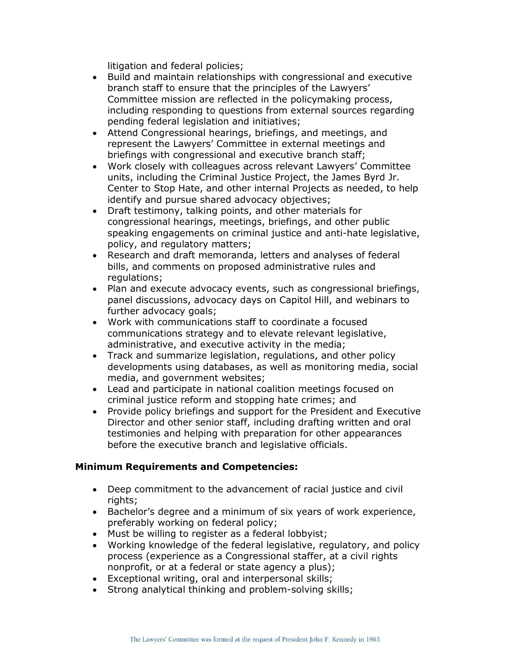litigation and federal policies;

- Build and maintain relationships with congressional and executive branch staff to ensure that the principles of the Lawyers' Committee mission are reflected in the policymaking process, including responding to questions from external sources regarding pending federal legislation and initiatives;
- Attend Congressional hearings, briefings, and meetings, and represent the Lawyers' Committee in external meetings and briefings with congressional and executive branch staff;
- Work closely with colleagues across relevant Lawyers' Committee units, including the Criminal Justice Project, the James Byrd Jr. Center to Stop Hate, and other internal Projects as needed, to help identify and pursue shared advocacy objectives;
- Draft testimony, talking points, and other materials for congressional hearings, meetings, briefings, and other public speaking engagements on criminal justice and anti-hate legislative, policy, and regulatory matters;
- Research and draft memoranda, letters and analyses of federal bills, and comments on proposed administrative rules and regulations;
- Plan and execute advocacy events, such as congressional briefings, panel discussions, advocacy days on Capitol Hill, and webinars to further advocacy goals;
- Work with communications staff to coordinate a focused communications strategy and to elevate relevant legislative, administrative, and executive activity in the media;
- Track and summarize legislation, regulations, and other policy developments using databases, as well as monitoring media, social media, and government websites;
- Lead and participate in national coalition meetings focused on criminal justice reform and stopping hate crimes; and
- Provide policy briefings and support for the President and Executive Director and other senior staff, including drafting written and oral testimonies and helping with preparation for other appearances before the executive branch and legislative officials.

## **Minimum Requirements and Competencies:**

- Deep commitment to the advancement of racial justice and civil rights;
- Bachelor's degree and a minimum of six years of work experience, preferably working on federal policy;
- Must be willing to register as a federal lobbyist;
- Working knowledge of the federal legislative, regulatory, and policy process (experience as a Congressional staffer, at a civil rights nonprofit, or at a federal or state agency a plus);
- Exceptional writing, oral and interpersonal skills;
- Strong analytical thinking and problem-solving skills;